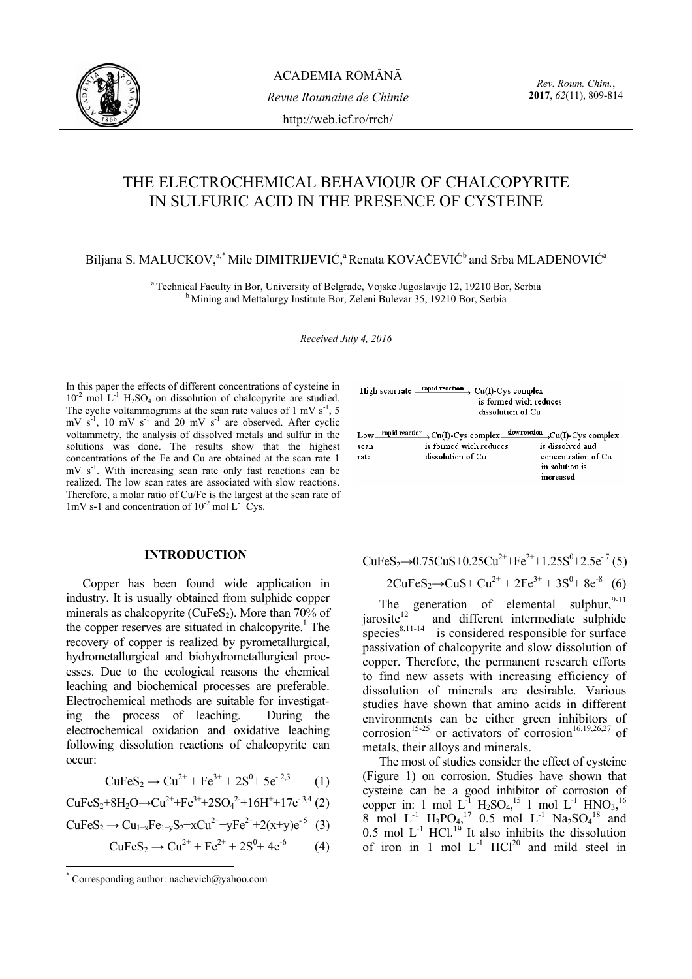

ACADEMIA ROMÂNĂ *Revue Roumaine de Chimie*  http://web.icf.ro/rrch/

*Rev. Roum. Chim.*, **2017**, *62*(11), 809-814

# THE ELECTROCHEMICAL BEHAVIOUR OF CHALCOPYRITE IN SULFURIC ACID IN THE PRESENCE OF CYSTEINE

## Biljana S. MALUCKOV,<sup>a,\*</sup> Mile DIMITRIJEVIĆ,<sup>a</sup> Renata KOVAČEVIĆ<sup>b</sup> and Srba MLADENOVIĆ<sup>a</sup>

<sup>a</sup> Technical Faculty in Bor, University of Belgrade, Vojske Jugoslavije 12, 19210 Bor, Serbia b Mining and Mettalurgy Institute Bor, Zeleni Bulevar 35, 19210 Bor, Serbia

*Received July 4, 2016* 

In this paper the effects of different concentrations of cysteine in  $10^{-2}$  mol L<sup>-1</sup> H<sub>2</sub>SO<sub>4</sub> on dissolution of chalcopyrite are studied. The cyclic voltammograms at the scan rate values of 1 mV  $s^{-1}$ , 5 mV  $s^{-1}$ , 10 mV  $s^{-1}$  and 20 mV  $s^{-1}$  are observed. After cyclic voltammetry, the analysis of dissolved metals and sulfur in the solutions was done. The results show that the highest concentrations of the Fe and Cu are obtained at the scan rate 1 mV s<sup>-1</sup>. With increasing scan rate only fast reactions can be realized. The low scan rates are associated with slow reactions. Therefore, a molar ratio of Cu/Fe is the largest at the scan rate of 1mV s-1 and concentration of  $10^{-2}$  mol L<sup>-1</sup> Cys.

#### **INTRODUCTION\***

Copper has been found wide application in industry. It is usually obtained from sulphide copper minerals as chalcopyrite ( $CuFeS<sub>2</sub>$ ). More than 70% of the copper reserves are situated in chalcopyrite.<sup>1</sup> The recovery of copper is realized by pyrometallurgical, hydrometallurgical and biohydrometallurgical processes. Due to the ecological reasons the chemical leaching and biochemical processes are preferable. Electrochemical methods are suitable for investigating the process of leaching. During the electrochemical oxidation and oxidative leaching following dissolution reactions of chalcopyrite can occur:

$$
CuFeS_2 \to Cu^{2+} + Fe^{3+} + 2S^0 + 5e^{-2,3}
$$
 (1)

CuFeS<sub>2</sub>+8H<sub>2</sub>O
$$
\rightarrow
$$
Cu<sup>2+</sup>+Fe<sup>3+</sup>+2SO<sub>4</sub><sup>2+</sup>+16H<sup>+</sup>+17e<sup>-3,4</sup> (2)

$$
CuFeS_2 \to Cu_{1-x}Fe_{1-y}S_2 + xCu^{2+} + yFe^{2+} + 2(x+y)e^{-5}
$$
 (3)

$$
CuFeS2 \to Cu2+ + Fe2+ + 2S0 + 4e-6
$$
 (4)

 $\overline{a}$ 

High scan rate rapid reaction Cu(I)-Cys complex is formed wich reduces dissolution of Cu  $Low$  rapid reaction  $\rightarrow Cu(I)$ -Cys complex  $\frac{slow readian}{\rightarrow Cu(I)}$ -Cys complex sean is formed wich reduces is dissolved and rate dissolution of Cu concentration of Cu in solution is increased

 $CuFeS<sub>2</sub>\rightarrow 0.75CuS+0.25Cu<sup>2+</sup>+Fe<sup>2+</sup>+1.25S<sup>0</sup>+2.5e<sup>-7</sup>(5)$ 

$$
2CuFeS_2 \rightarrow CuS + Cu^{2+} + 2Fe^{3+} + 3S^0 + 8e^{-8}
$$
 (6)

The generation of elemental sulphur,  $9-11$ jarosite $12$  and different intermediate sulphide species $^{8,11-14}$  is considered responsible for surface passivation of chalcopyrite and slow dissolution of copper. Therefore, the permanent research efforts to find new assets with increasing efficiency of dissolution of minerals are desirable. Various studies have shown that amino acids in different environments can be either green inhibitors of corrosion<sup>15-25</sup> or activators of corrosion<sup>16,19,26,27</sup> of metals, their alloys and minerals.

The most of studies consider the effect of cysteine (Figure 1) on corrosion. Studies have shown that cysteine can be a good inhibitor of corrosion of copper in: 1 mol  $L^{1}$  H<sub>2</sub>SO<sub>4</sub>,<sup>15</sup> 1 mol  $L^{1}$  HNO<sub>3</sub>,<sup>16</sup> 8 mol  $L^{-1}$  H<sub>3</sub>PO<sub>4</sub>,<sup>17</sup> 0.5 mol  $L^{-1}$  Na<sub>2</sub>SO<sub>4</sub><sup>18</sup> and 0.5 mol  $L^{-1}$  HCl.<sup>19</sup> It also inhibits the dissolution of iron in 1 mol  $L^{-1}$  HCl<sup>20</sup> and mild steel in

<sup>\*</sup> Corresponding author: nachevich@yahoo.com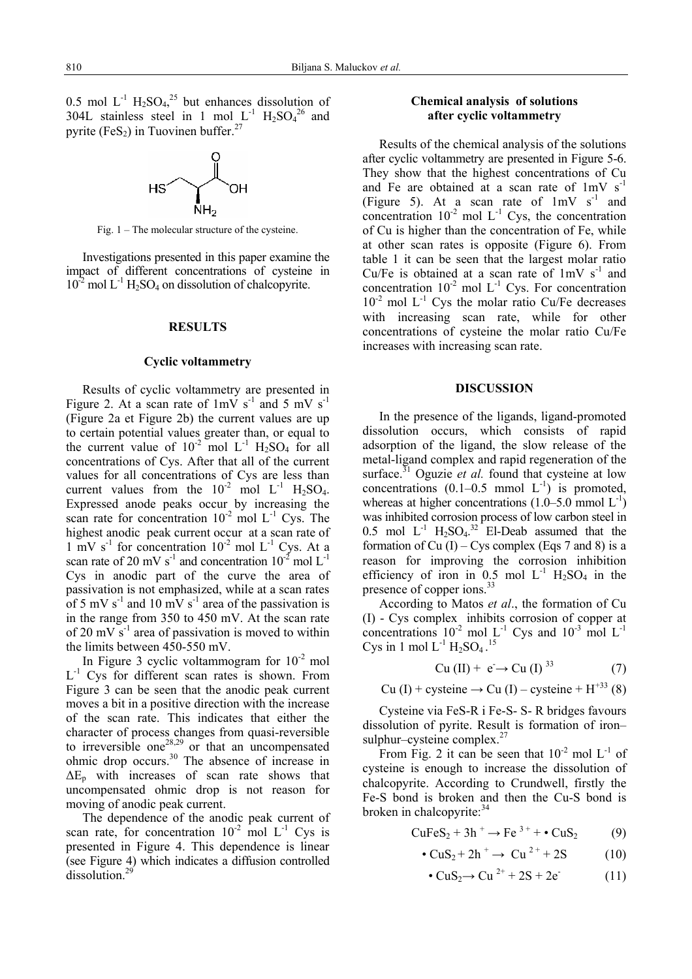0.5 mol  $L^{-1}$  H<sub>2</sub>SO<sub>4</sub><sup>25</sup> but enhances dissolution of 304L stainless steel in 1 mol  $L^{-1}$  H<sub>2</sub>SO<sub>4</sub><sup>26</sup> and pyrite (FeS<sub>2</sub>) in Tuovinen buffer.<sup>27</sup>



Fig. 1 – The molecular structure of the cysteine.

Investigations presented in this paper examine the impact of different concentrations of cysteine in  $10^{-2}$  mol L<sup>-1</sup> H<sub>2</sub>SO<sub>4</sub> on dissolution of chalcopyrite.

## **RESULTS**

#### **Cyclic voltammetry**

Results of cyclic voltammetry are presented in Figure 2. At a scan rate of  $1 \text{mV s}^{-1}$  and 5 mV s<sup>-1</sup> (Figure 2a et Figure 2b) the current values are up to certain potential values greater than, or equal to the current value of  $10^{-2}$  mol  $L^{-1}$  H<sub>2</sub>SO<sub>4</sub> for all concentrations of Cys. After that all of the current values for all concentrations of Cys are less than current values from the  $10^{-2}$  mol  $L^{-1}$  H<sub>2</sub>SO<sub>4</sub>. Expressed anode peaks occur by increasing the scan rate for concentration  $10^{-2}$  mol L<sup>-1</sup> Cys. The highest anodic peak current occur at a scan rate of  $1 \text{ mV s}^{-1}$  for concentration  $10^{-2}$  mol L<sup>-1</sup> Cys. At a scan rate of 20 mV s<sup>-1</sup> and concentration  $10^{-2}$  mol L<sup>-1</sup> Cys in anodic part of the curve the area of passivation is not emphasized, while at a scan rates of 5 mV  $s^{-1}$  and 10 mV  $s^{-1}$  area of the passivation is in the range from 350 to 450 mV. At the scan rate of 20 mV  $s^{-1}$  area of passivation is moved to within the limits between 450-550 mV.

In Figure 3 cyclic voltammogram for  $10^{-2}$  mol  $L^{-1}$  Cys for different scan rates is shown. From Figure 3 can be seen that the anodic peak current moves a bit in a positive direction with the increase of the scan rate. This indicates that either the character of process changes from quasi-reversible to irreversible one<sup>28,29</sup> or that an uncompensated ohmic drop occurs.30 The absence of increase in  $\Delta E_p$  with increases of scan rate shows that uncompensated ohmic drop is not reason for moving of anodic peak current.

The dependence of the anodic peak current of scan rate, for concentration  $10^{-2}$  mol L<sup>-1</sup> Cys is presented in Figure 4. This dependence is linear (see Figure 4) which indicates a diffusion controlled dissolution.<sup>29</sup>

## **Chemical analysis of solutions after cyclic voltammetry**

Results of the chemical analysis of the solutions after cyclic voltammetry are presented in Figure 5-6. They show that the highest concentrations of Cu and Fe are obtained at a scan rate of  $1 \text{mV s}^{-1}$ (Figure 5). At a scan rate of  $1 \text{ mV s}^{-1}$  and concentration  $10^{-2}$  mol L<sup>-1</sup> Cys, the concentration of Cu is higher than the concentration of Fe, while at other scan rates is opposite (Figure 6). From table 1 it can be seen that the largest molar ratio Cu/Fe is obtained at a scan rate of  $1 \text{mV s}^{-1}$  and concentration  $10^{-2}$  mol L<sup>-1</sup> Cys. For concentration  $10^{-2}$  mol L<sup>-1</sup> Cys the molar ratio Cu/Fe decreases with increasing scan rate, while for other concentrations of cysteine the molar ratio Cu/Fe increases with increasing scan rate.

### **DISCUSSION**

In the presence of the ligands, ligand-promoted dissolution occurs, which consists of rapid adsorption of the ligand, the slow release of the metal-ligand complex and rapid regeneration of the surface.<sup>31</sup> Oguzie *et al.* found that cysteine at low concentrations  $(0.1-0.5 \text{ mmol L}^{-1})$  is promoted, whereas at higher concentrations  $(1.0-5.0 \text{ mmol L}^{-1})$ was inhibited corrosion process of low carbon steel in 0.5 mol  $L^{-1}$  H<sub>2</sub>SO<sub>4</sub>.<sup>32</sup> El-Deab assumed that the formation of Cu  $(I)$  – Cys complex (Eqs 7 and 8) is a reason for improving the corrosion inhibition efficiency of iron in  $0.5$  mol  $L^{-1}$  H<sub>2</sub>SO<sub>4</sub> in the presence of copper ions.<sup>33</sup>

According to Matos *et al*., the formation of Cu (I) - Cys complex inhibits corrosion of copper at concentrations  $10^{-2}$  mol L<sup>-1</sup> Cys and  $10^{-3}$  mol L<sup>-1</sup> Cys in 1 mol  $L^{-1}$  H<sub>2</sub>SO<sub>4</sub>.<sup>15</sup>

$$
Cu (II) + e \rightarrow Cu (I) ^{33}
$$
 (7)

Cu (I) + cysteine  $\rightarrow$  Cu (I) – cysteine + H<sup>+33</sup> (8)

Cysteine via FeS-R i Fe-S- S- R bridges favours dissolution of pyrite. Result is formation of iron– sulphur–cysteine complex.<sup>27</sup>

From Fig. 2 it can be seen that  $10^{-2}$  mol L<sup>-1</sup> of cysteine is enough to increase the dissolution of chalcopyrite. According to Crundwell, firstly the Fe-S bond is broken and then the Cu-S bond is broken in chalcopyrite: $34$ 

$$
\text{CuFeS}_2 + 3h^+ \rightarrow \text{Fe}^{3+} + \bullet \text{CuS}_2 \tag{9}
$$

$$
\bullet \text{ CuS}_2 + 2\text{h}^+ \rightarrow \text{ Cu}^2 + 2\text{S} \tag{10}
$$

$$
\bullet \text{ CuS}_2 \rightarrow \text{Cu}^{2+} + 2\text{S} + 2\text{e}^{\cdot} \tag{11}
$$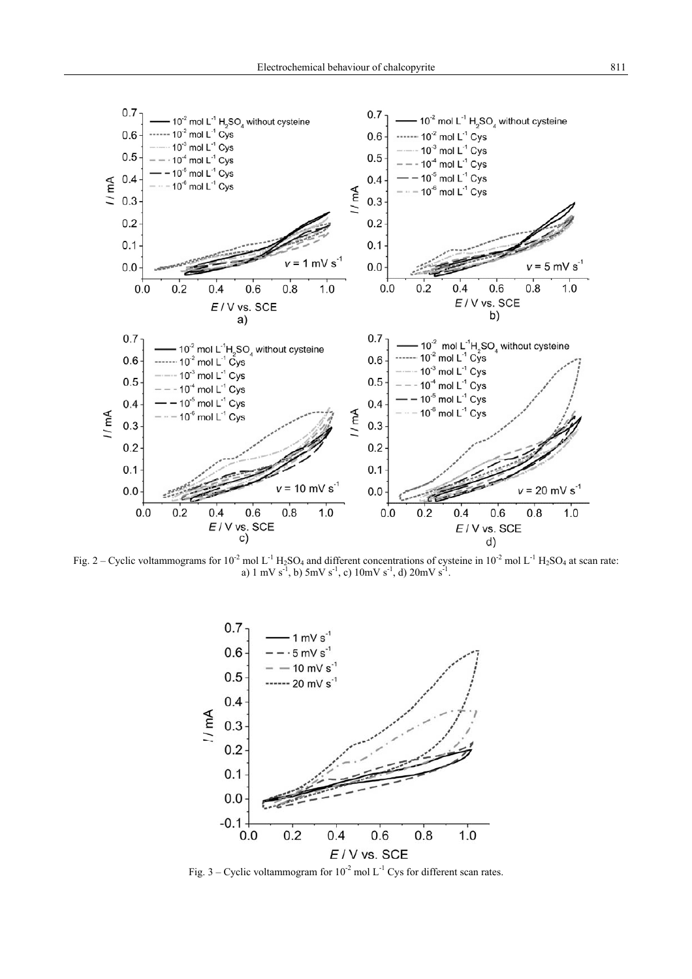

Fig. 2 – Cyclic voltammograms for 10<sup>-2</sup> mol L<sup>-1</sup> H<sub>2</sub>SO<sub>4</sub> and different concentrations of cysteine in 10<sup>-2</sup> mol L<sup>-1</sup> H<sub>2</sub>SO<sub>4</sub> at scan rate: a) 1 mV  $s^{-1}$ , b) 5mV  $s^{-1}$ , c) 10mV  $s^{-1}$ , d) 20mV  $s^{-1}$ .



Fig. 3 – Cyclic voltammogram for  $10^{-2}$  mol L<sup>-1</sup> Cys for different scan rates.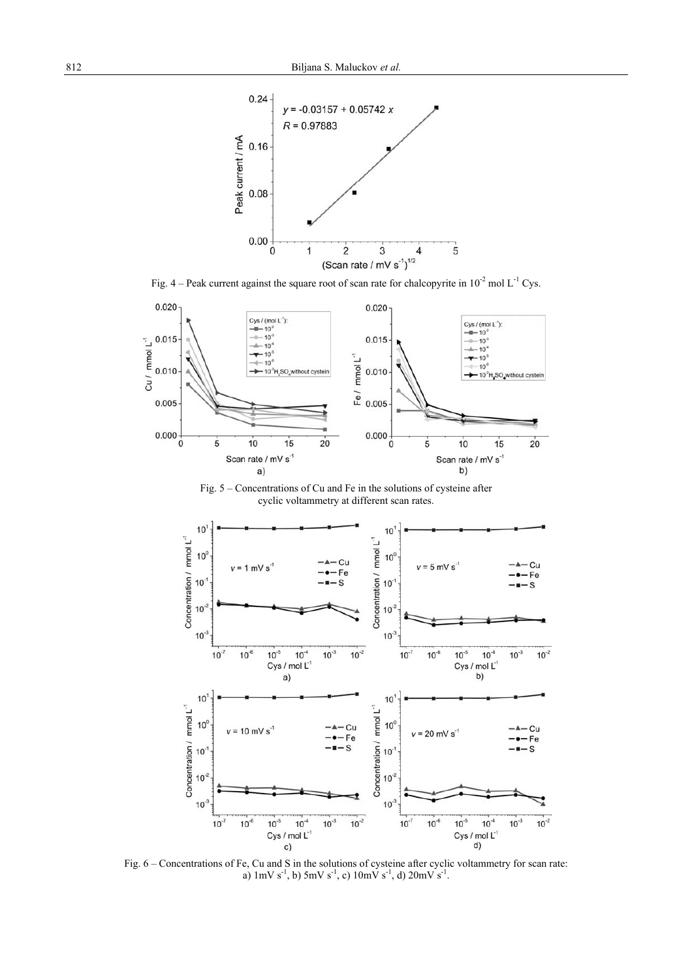

Fig. 4 – Peak current against the square root of scan rate for chalcopyrite in  $10^{-2}$  mol L<sup>-1</sup> Cys.



Fig. 5 – Concentrations of Cu and Fe in the solutions of cysteine after cyclic voltammetry at different scan rates.



Fig. 6 – Concentrations of Fe, Cu and S in the solutions of cysteine after cyclic voltammetry for scan rate: a)  $1 \text{mV s}^{-1}$ , b)  $5 \text{mV s}^{-1}$ , c)  $10 \text{mV s}^{-1}$ , d)  $20 \text{mV s}^{-1}$ .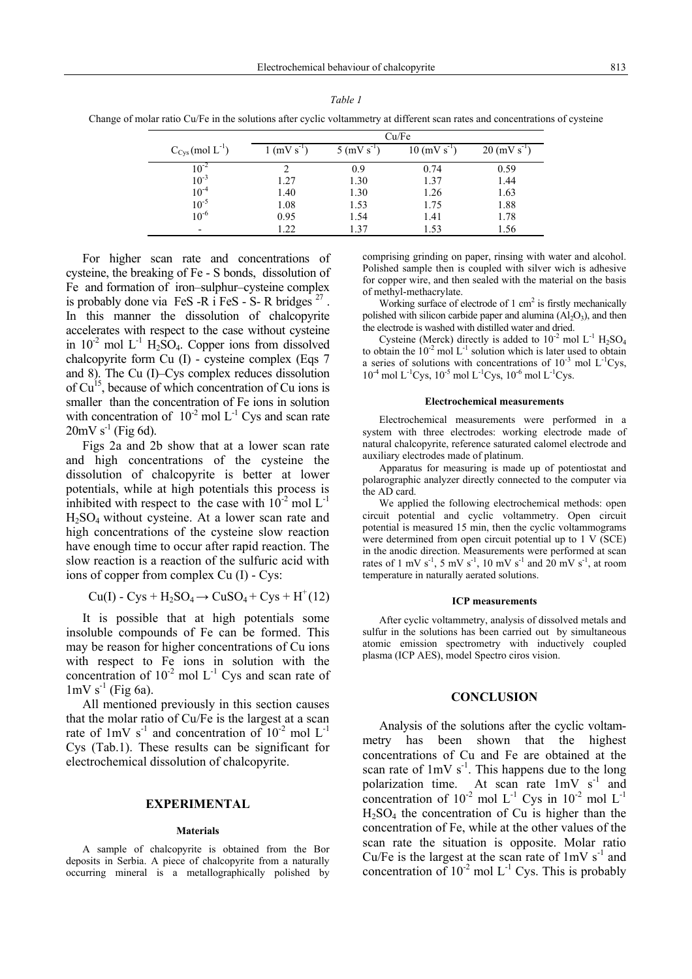| Table 1 |  |  |
|---------|--|--|
|         |  |  |

Change of molar ratio Cu/Fe in the solutions after cyclic voltammetry at different scan rates and concentrations of cysteine

|                                  | Cu/Fe                     |                           |                            |                            |  |  |
|----------------------------------|---------------------------|---------------------------|----------------------------|----------------------------|--|--|
| $C_{\text{Cys}}$ (mol $L^{-1}$ ) | $1$ (mV s <sup>-1</sup> ) | $5$ (mV s <sup>-1</sup> ) | $10$ (mV s <sup>-1</sup> ) | $20 \, (\text{mV s}^{-1})$ |  |  |
| $10^{-2}$                        |                           | 0.9                       | 0.74                       | 0.59                       |  |  |
| $10^{-3}$                        | 1.27                      | 1.30                      | 1.37                       | 1.44                       |  |  |
| $10^{-4}$                        | 1.40                      | 1.30                      | 1.26                       | 1.63                       |  |  |
| $10^{-5}$                        | 1.08                      | 1.53                      | 1.75                       | 1.88                       |  |  |
| $10^{-6}$                        | 0.95                      | 1.54                      | 1.41                       | 1.78                       |  |  |
|                                  | 1.22                      | 1.37                      | 1.53                       | 1.56                       |  |  |

For higher scan rate and concentrations of cysteine, the breaking of Fe - S bonds, dissolution of Fe and formation of iron–sulphur–cysteine complex is probably done via FeS -R i FeS - S-R bridges  $^{27}$ . In this manner the dissolution of chalcopyrite accelerates with respect to the case without cysteine in  $10^{-2}$  mol L<sup>-1</sup> H<sub>2</sub>SO<sub>4</sub>. Copper ions from dissolved chalcopyrite form Cu (I) - cysteine complex (Eqs 7 and 8). The Cu (I)–Cys complex reduces dissolution of  $Cu<sup>15</sup>$ , because of which concentration of Cu ions is smaller than the concentration of Fe ions in solution with concentration of  $10^{-2}$  mol L<sup>-1</sup> Cys and scan rate  $20 \text{mV s}^{-1}$  (Fig 6d).

Figs 2a and 2b show that at a lower scan rate and high concentrations of the cysteine the dissolution of chalcopyrite is better at lower potentials, while at high potentials this process is inhibited with respect to the case with  $10^{-2}$  mol L<sup>-1</sup> H2SO4 without cysteine. At a lower scan rate and high concentrations of the cysteine slow reaction have enough time to occur after rapid reaction. The slow reaction is a reaction of the sulfuric acid with ions of copper from complex Cu (I) - Cys:

$$
Cu(I) - Cys + H_2SO_4 \rightarrow CuSO_4 + Cys + H^+(12)
$$

It is possible that at high potentials some insoluble compounds of Fe can be formed. This may be reason for higher concentrations of Cu ions with respect to Fe ions in solution with the concentration of  $10^{-2}$  mol L<sup>-1</sup> Cys and scan rate of  $1 \text{mV s}^{-1}$  (Fig 6a).

All mentioned previously in this section causes that the molar ratio of Cu/Fe is the largest at a scan rate of  $1 \text{mV s}^{-1}$  and concentration of  $10^{-2}$  mol L<sup>-1</sup> Cys (Tab.1). These results can be significant for electrochemical dissolution of chalcopyrite.

### **EXPERIMENTAL**

#### **Materials**

A sample of chalcopyrite is obtained from the Bor deposits in Serbia. A piece of chalcopyrite from a naturally occurring mineral is a metallographically polished by comprising grinding on paper, rinsing with water and alcohol. Polished sample then is coupled with silver wich is adhesive for copper wire, and then sealed with the material on the basis of methyl-methacrylate.

Working surface of electrode of  $1 \text{ cm}^2$  is firstly mechanically polished with silicon carbide paper and alumina  $(A<sub>2</sub>O<sub>3</sub>)$ , and then the electrode is washed with distilled water and dried.

Cysteine (Merck) directly is added to  $10^{-2}$  mol L<sup>-1</sup> H<sub>2</sub>SO<sub>4</sub> to obtain the  $10^{-2}$  mol L<sup>-1</sup> solution which is later used to obtain a series of solutions with concentrations of  $10^{-3}$  mol L<sup>-1</sup>Cys,  $10^{-4}$  mol L<sup>-1</sup>Cys,  $10^{-5}$  mol L<sup>-1</sup>Cys,  $10^{-6}$  mol L<sup>-1</sup>Cys.

#### **Electrochemical measurements**

Electrochemical measurements were performed in a system with three electrodes: working electrode made of natural chalcopyrite, reference saturated calomel electrode and auxiliary electrodes made of platinum.

Apparatus for measuring is made up of potentiostat and polarographic analyzer directly connected to the computer via the AD card.

We applied the following electrochemical methods: open circuit potential and cyclic voltammetry. Open circuit potential is measured 15 min, then the cyclic voltammograms were determined from open circuit potential up to 1 V (SCE) in the anodic direction. Measurements were performed at scan rates of 1 mV s<sup>-1</sup>, 5 mV s<sup>-1</sup>, 10 mV s<sup>-1</sup> and 20 mV s<sup>-1</sup>, at room temperature in naturally aerated solutions.

#### **ICP measurements**

After cyclic voltammetry, analysis of dissolved metals and sulfur in the solutions has been carried out by simultaneous atomic emission spectrometry with inductively coupled plasma (ICP AES), model Spectro ciros vision.

#### **CONCLUSION**

Analysis of the solutions after the cyclic voltammetry has been shown that the highest concentrations of Cu and Fe are obtained at the scan rate of  $1 \text{mV s}^{-1}$ . This happens due to the long polarization time. At scan rate  $1 \text{mV s}^{-1}$  and concentration of  $10^{-2}$  mol L<sup>-1</sup> Cys in  $10^{-2}$  mol L<sup>-1</sup>  $H_2SO_4$  the concentration of Cu is higher than the concentration of Fe, while at the other values of the scan rate the situation is opposite. Molar ratio Cu/Fe is the largest at the scan rate of  $1mV s^{-1}$  and concentration of  $10^{-2}$  mol L<sup>-1</sup> Cys. This is probably